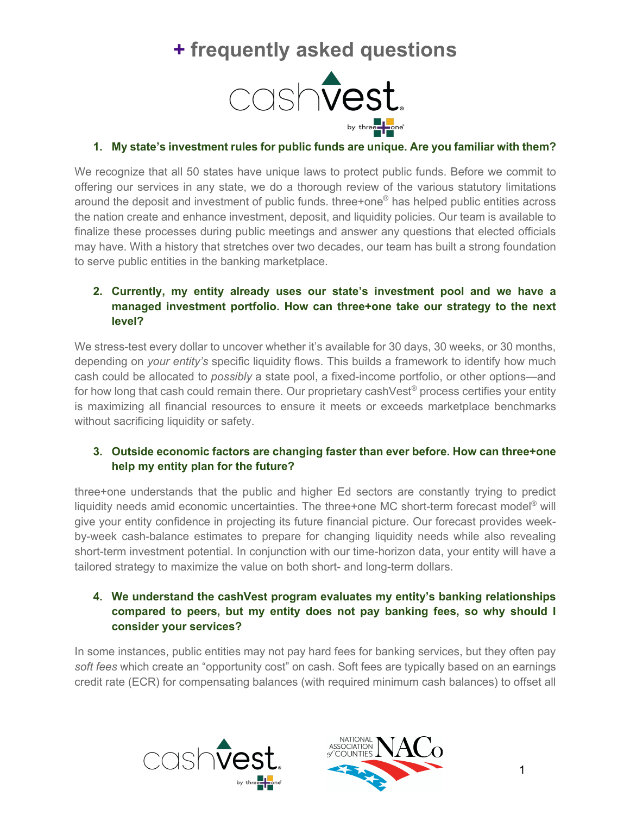# **+ frequently asked questions**



## **1. My state's investment rules for public funds are unique. Are you familiar with them?**

We recognize that all 50 states have unique laws to protect public funds. Before we commit to offering our services in any state, we do a thorough review of the various statutory limitations around the deposit and investment of public funds. three+one® has helped public entities across the nation create and enhance investment, deposit, and liquidity policies. Our team is available to finalize these processes during public meetings and answer any questions that elected officials may have. With a history that stretches over two decades, our team has built a strong foundation to serve public entities in the banking marketplace.

## **2. Currently, my entity already uses our state's investment pool and we have a managed investment portfolio. How can three+one take our strategy to the next level?**

We stress-test every dollar to uncover whether it's available for 30 days, 30 weeks, or 30 months, depending on *your entity's* specific liquidity flows. This builds a framework to identify how much cash could be allocated to *possibly* a state pool, a fixed-income portfolio, or other options—and for how long that cash could remain there. Our proprietary cashVest<sup>®</sup> process certifies your entity is maximizing all financial resources to ensure it meets or exceeds marketplace benchmarks without sacrificing liquidity or safety.

## **3. Outside economic factors are changing faster than ever before. How can three+one help my entity plan for the future?**

three+one understands that the public and higher Ed sectors are constantly trying to predict liquidity needs amid economic uncertainties. The three+one MC short-term forecast model® will give your entity confidence in projecting its future financial picture. Our forecast provides weekby-week cash-balance estimates to prepare for changing liquidity needs while also revealing short-term investment potential. In conjunction with our time-horizon data, your entity will have a tailored strategy to maximize the value on both short- and long-term dollars.

## **4. We understand the cashVest program evaluates my entity's banking relationships compared to peers, but my entity does not pay banking fees, so why should I consider your services?**

In some instances, public entities may not pay hard fees for banking services, but they often pay *soft fees* which create an "opportunity cost" on cash. Soft fees are typically based on an earnings credit rate (ECR) for compensating balances (with required minimum cash balances) to offset all



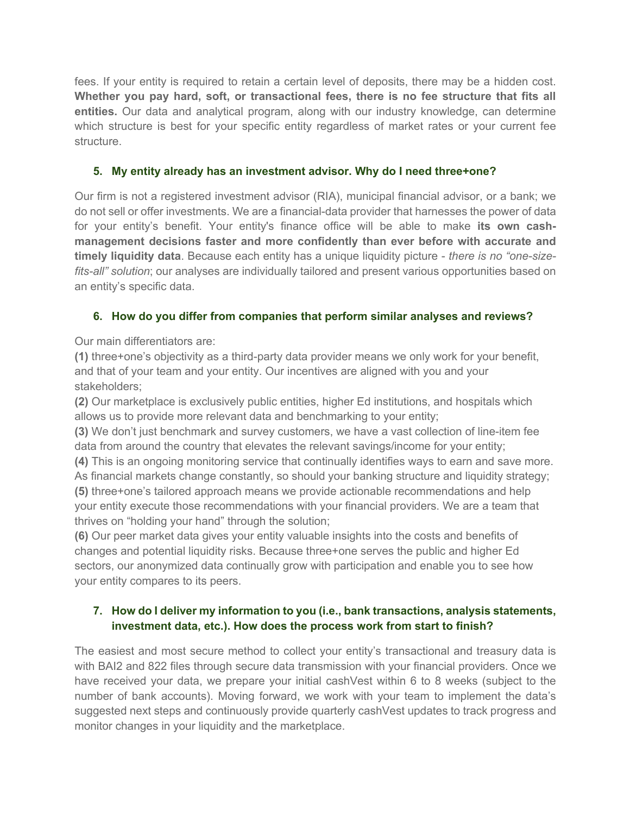fees. If your entity is required to retain a certain level of deposits, there may be a hidden cost. **Whether you pay hard, soft, or transactional fees, there is no fee structure that fits all entities.** Our data and analytical program, along with our industry knowledge, can determine which structure is best for your specific entity regardless of market rates or your current fee structure.

#### **5. My entity already has an investment advisor. Why do I need three+one?**

Our firm is not a registered investment advisor (RIA), municipal financial advisor, or a bank; we do not sell or offer investments. We are a financial-data provider that harnesses the power of data for your entity's benefit. Your entity's finance office will be able to make **its own cashmanagement decisions faster and more confidently than ever before with accurate and timely liquidity data**. Because each entity has a unique liquidity picture - *there is no "one-sizefits-all" solution*; our analyses are individually tailored and present various opportunities based on an entity's specific data.

#### **6. How do you differ from companies that perform similar analyses and reviews?**

Our main differentiators are:

**(1)** three+one's objectivity as a third-party data provider means we only work for your benefit, and that of your team and your entity. Our incentives are aligned with you and your stakeholders;

**(2)** Our marketplace is exclusively public entities, higher Ed institutions, and hospitals which allows us to provide more relevant data and benchmarking to your entity;

**(3)** We don't just benchmark and survey customers, we have a vast collection of line-item fee data from around the country that elevates the relevant savings/income for your entity;

**(4)** This is an ongoing monitoring service that continually identifies ways to earn and save more. As financial markets change constantly, so should your banking structure and liquidity strategy; **(5)** three+one's tailored approach means we provide actionable recommendations and help

your entity execute those recommendations with your financial providers. We are a team that thrives on "holding your hand" through the solution;

**(6)** Our peer market data gives your entity valuable insights into the costs and benefits of changes and potential liquidity risks. Because three+one serves the public and higher Ed sectors, our anonymized data continually grow with participation and enable you to see how your entity compares to its peers.

## **7. How do I deliver my information to you (i.e., bank transactions, analysis statements, investment data, etc.). How does the process work from start to finish?**

The easiest and most secure method to collect your entity's transactional and treasury data is with BAI2 and 822 files through secure data transmission with your financial providers. Once we have received your data, we prepare your initial cashVest within 6 to 8 weeks (subject to the number of bank accounts). Moving forward, we work with your team to implement the data's suggested next steps and continuously provide quarterly cashVest updates to track progress and monitor changes in your liquidity and the marketplace.